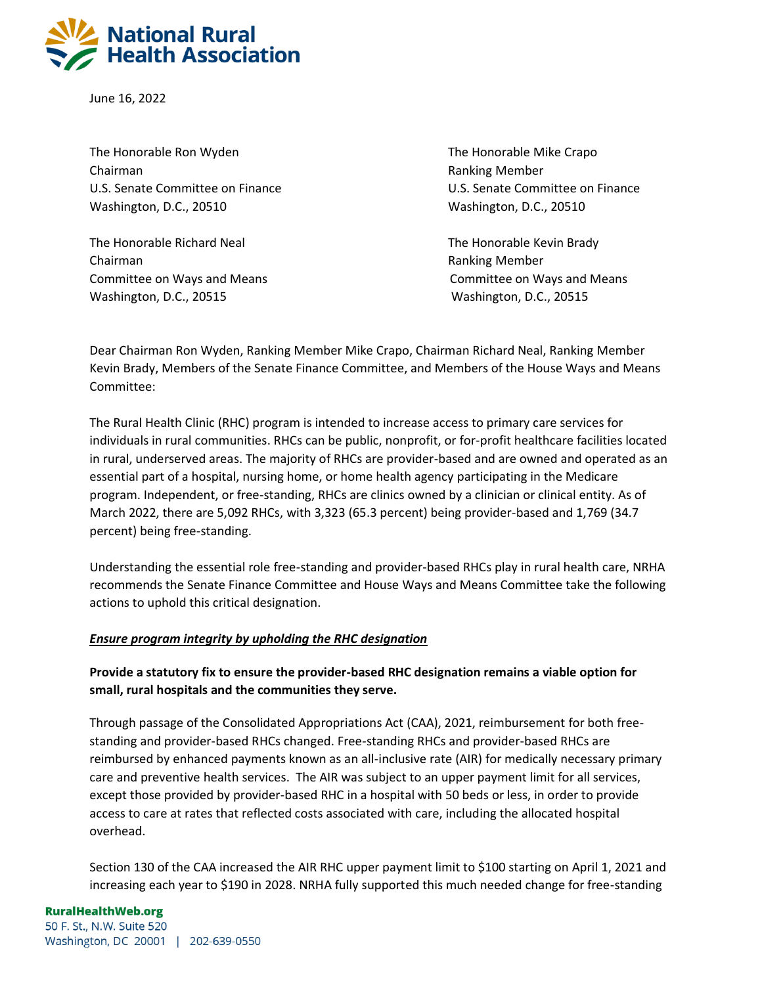

June 16, 2022

The Honorable Ron Wyden The Honorable Mike Crapo Chairman Ranking Member Washington, D.C., 20510 Washington, D.C., 20510

The Honorable Richard Neal The Honorable Kevin Brady Chairman **Ranking Member** Ranking Member Washington, D.C., 20515 Washington, D.C., 20515

U.S. Senate Committee on Finance U.S. Senate Committee on Finance

Committee on Ways and Means Committee on Ways and Means

Dear Chairman Ron Wyden, Ranking Member Mike Crapo, Chairman Richard Neal, Ranking Member Kevin Brady, Members of the Senate Finance Committee, and Members of the House Ways and Means Committee:

The Rural Health Clinic (RHC) program is intended to increase access to primary care services for individuals in rural communities. RHCs can be public, nonprofit, or for-profit healthcare facilities located in rural, underserved areas. The majority of RHCs are provider-based and are owned and operated as an essential part of a hospital, nursing home, or home health agency participating in the Medicare program. Independent, or free-standing, RHCs are clinics owned by a clinician or clinical entity. As of March 2022, there are 5,092 RHCs, with 3,323 (65.3 percent) being provider-based and 1,769 (34.7 percent) being free-standing.

Understanding the essential role free-standing and provider-based RHCs play in rural health care, NRHA recommends the Senate Finance Committee and House Ways and Means Committee take the following actions to uphold this critical designation.

## *Ensure program integrity by upholding the RHC designation*

# **Provide a statutory fix to ensure the provider-based RHC designation remains a viable option for small, rural hospitals and the communities they serve.**

Through passage of the Consolidated Appropriations Act (CAA), 2021, reimbursement for both freestanding and provider-based RHCs changed. Free-standing RHCs and provider-based RHCs are reimbursed by enhanced payments known as an all-inclusive rate (AIR) for medically necessary primary care and preventive health services. The AIR was subject to an upper payment limit for all services, except those provided by provider-based RHC in a hospital with 50 beds or less, in order to provide access to care at rates that reflected costs associated with care, including the allocated hospital overhead.

Section 130 of the CAA increased the AIR RHC upper payment limit to \$100 starting on April 1, 2021 and increasing each year to \$190 in 2028. NRHA fully supported this much needed change for free-standing

### **RuralHealthWeb.org**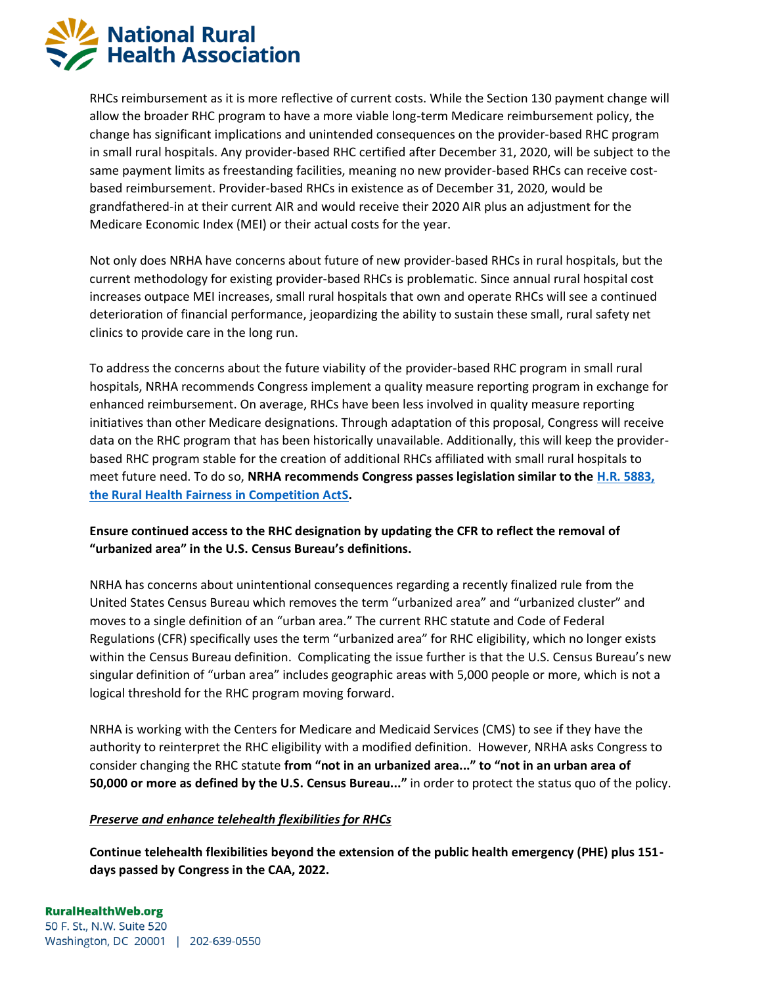

RHCs reimbursement as it is more reflective of current costs. While the Section 130 payment change will allow the broader RHC program to have a more viable long-term Medicare reimbursement policy, the change has significant implications and unintended consequences on the provider-based RHC program in small rural hospitals. Any provider-based RHC certified after December 31, 2020, will be subject to the same payment limits as freestanding facilities, meaning no new provider-based RHCs can receive costbased reimbursement. Provider-based RHCs in existence as of December 31, 2020, would be grandfathered-in at their current AIR and would receive their 2020 AIR plus an adjustment for the Medicare Economic Index (MEI) or their actual costs for the year.

Not only does NRHA have concerns about future of new provider-based RHCs in rural hospitals, but the current methodology for existing provider-based RHCs is problematic. Since annual rural hospital cost increases outpace MEI increases, small rural hospitals that own and operate RHCs will see a continued deterioration of financial performance, jeopardizing the ability to sustain these small, rural safety net clinics to provide care in the long run.

To address the concerns about the future viability of the provider-based RHC program in small rural hospitals, NRHA recommends Congress implement a quality measure reporting program in exchange for enhanced reimbursement. On average, RHCs have been less involved in quality measure reporting initiatives than other Medicare designations. Through adaptation of this proposal, Congress will receive data on the RHC program that has been historically unavailable. Additionally, this will keep the providerbased RHC program stable for the creation of additional RHCs affiliated with small rural hospitals to meet future need. To do so, **NRHA recommends Congress passes legislation similar to the [H.R. 5883,](https://www.congress.gov/bill/117th-congress/house-bill/5883/text)  [the Rural Health Fairness in Competition ActS](https://www.congress.gov/bill/117th-congress/house-bill/5883/text).** 

## **Ensure continued access to the RHC designation by updating the CFR to reflect the removal of "urbanized area" in the U.S. Census Bureau's definitions.**

NRHA has concerns about unintentional consequences regarding a recently finalized rule from the United States Census Bureau which removes the term "urbanized area" and "urbanized cluster" and moves to a single definition of an "urban area." The current RHC statute and Code of Federal Regulations (CFR) specifically uses the term "urbanized area" for RHC eligibility, which no longer exists within the Census Bureau definition. Complicating the issue further is that the U.S. Census Bureau's new singular definition of "urban area" includes geographic areas with 5,000 people or more, which is not a logical threshold for the RHC program moving forward.

NRHA is working with the Centers for Medicare and Medicaid Services (CMS) to see if they have the authority to reinterpret the RHC eligibility with a modified definition. However, NRHA asks Congress to consider changing the RHC statute **from "not in an urbanized area..." to "not in an urban area of 50,000 or more as defined by the U.S. Census Bureau..."** in order to protect the status quo of the policy.

## *Preserve and enhance telehealth flexibilities for RHCs*

**Continue telehealth flexibilities beyond the extension of the public health emergency (PHE) plus 151 days passed by Congress in the CAA, 2022.**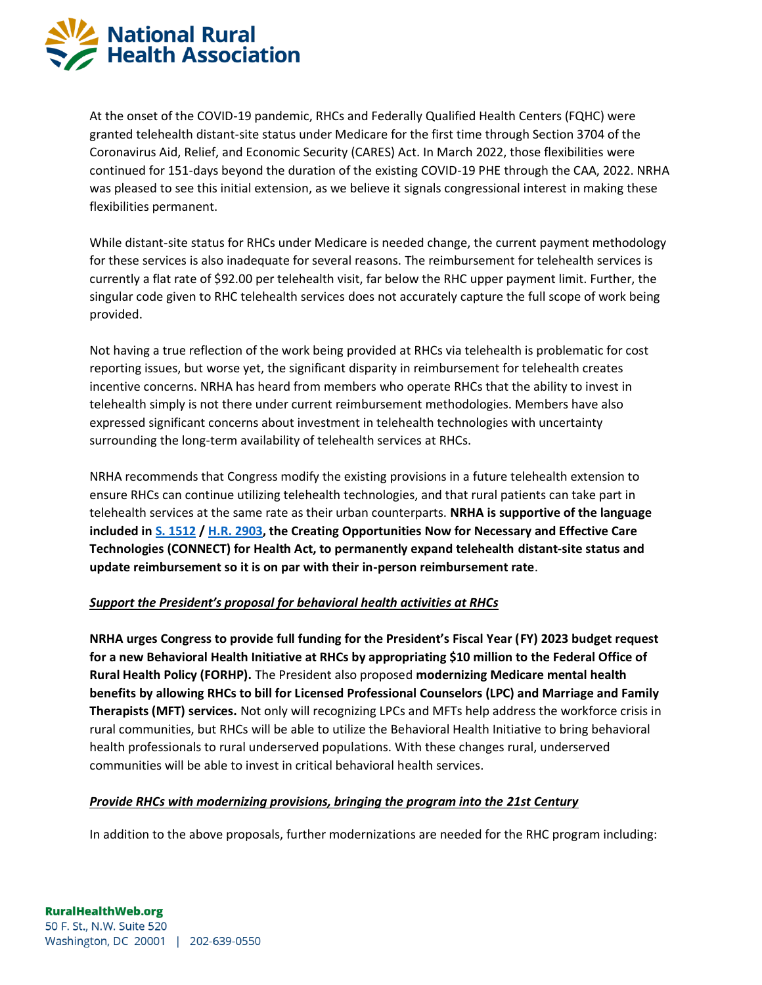

At the onset of the COVID-19 pandemic, RHCs and Federally Qualified Health Centers (FQHC) were granted telehealth distant-site status under Medicare for the first time through Section 3704 of the Coronavirus Aid, Relief, and Economic Security (CARES) Act. In March 2022, those flexibilities were continued for 151-days beyond the duration of the existing COVID-19 PHE through the CAA, 2022. NRHA was pleased to see this initial extension, as we believe it signals congressional interest in making these flexibilities permanent.

While distant-site status for RHCs under Medicare is needed change, the current payment methodology for these services is also inadequate for several reasons. The reimbursement for telehealth services is currently a flat rate of \$92.00 per telehealth visit, far below the RHC upper payment limit. Further, the singular code given to RHC telehealth services does not accurately capture the full scope of work being provided.

Not having a true reflection of the work being provided at RHCs via telehealth is problematic for cost reporting issues, but worse yet, the significant disparity in reimbursement for telehealth creates incentive concerns. NRHA has heard from members who operate RHCs that the ability to invest in telehealth simply is not there under current reimbursement methodologies. Members have also expressed significant concerns about investment in telehealth technologies with uncertainty surrounding the long-term availability of telehealth services at RHCs.

NRHA recommends that Congress modify the existing provisions in a future telehealth extension to ensure RHCs can continue utilizing telehealth technologies, and that rural patients can take part in telehealth services at the same rate as their urban counterparts. **NRHA is supportive of the language included i[n S. 1512](https://www.congress.gov/bill/117th-congress/senate-bill/1512) / [H.R. 2903,](https://www.congress.gov/bill/117th-congress/house-bill/2903) the Creating Opportunities Now for Necessary and Effective Care Technologies (CONNECT) for Health Act, to permanently expand telehealth distant-site status and update reimbursement so it is on par with their in-person reimbursement rate**.

## *Support the President's proposal for behavioral health activities at RHCs*

**NRHA urges Congress to provide full funding for the President's Fiscal Year (FY) 2023 budget request for a new Behavioral Health Initiative at RHCs by appropriating \$10 million to the Federal Office of Rural Health Policy (FORHP).** The President also proposed **modernizing Medicare mental health benefits by allowing RHCs to bill for Licensed Professional Counselors (LPC) and Marriage and Family Therapists (MFT) services.** Not only will recognizing LPCs and MFTs help address the workforce crisis in rural communities, but RHCs will be able to utilize the Behavioral Health Initiative to bring behavioral health professionals to rural underserved populations. With these changes rural, underserved communities will be able to invest in critical behavioral health services.

### *Provide RHCs with modernizing provisions, bringing the program into the 21st Century*

In addition to the above proposals, further modernizations are needed for the RHC program including: